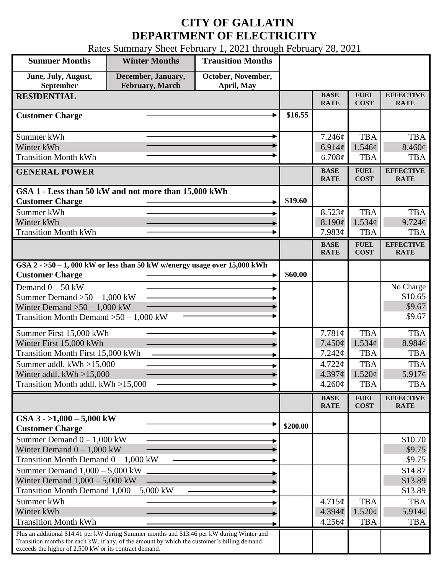## **CITY OF GALLATIN DEPARTMENT OF ELECTRICITY**

Rates Summary Sheet February 1, 2021 through February 28, 2021

| <b>Summer Months</b>                                                                                                                                                                       | <b>Winter Months</b>                  | <b>Transition Months</b>         |          |                            |                                               |                                 |
|--------------------------------------------------------------------------------------------------------------------------------------------------------------------------------------------|---------------------------------------|----------------------------------|----------|----------------------------|-----------------------------------------------|---------------------------------|
| June, July, August,<br>September                                                                                                                                                           | December, January,<br>February, March | October, November,<br>April, May |          |                            |                                               |                                 |
| <b>RESIDENTIAL</b>                                                                                                                                                                         |                                       |                                  |          | <b>BASE</b><br><b>RATE</b> | <b>FUEL</b><br><b>COST</b>                    | <b>EFFECTIVE</b><br><b>RATE</b> |
| <b>Customer Charge</b>                                                                                                                                                                     |                                       |                                  | \$16.55  |                            |                                               |                                 |
| Summer kWh                                                                                                                                                                                 |                                       |                                  |          | 7.246¢                     | <b>TBA</b>                                    | <b>TBA</b>                      |
| Winter kWh                                                                                                                                                                                 |                                       |                                  |          | 6.914 $\phi$               | $1.546\ell$                                   | $8.460\phi$                     |
| <b>Transition Month kWh</b>                                                                                                                                                                |                                       |                                  |          | 6.708¢                     | <b>TBA</b>                                    | <b>TBA</b>                      |
| <b>GENERAL POWER</b>                                                                                                                                                                       |                                       |                                  |          | <b>BASE</b><br><b>RATE</b> | <b>FUEL</b><br><b>COST</b>                    | <b>EFFECTIVE</b><br><b>RATE</b> |
| GSA 1 - Less than 50 kW and not more than 15,000 kWh                                                                                                                                       |                                       |                                  |          |                            |                                               |                                 |
| <b>Customer Charge</b>                                                                                                                                                                     |                                       |                                  | \$19.60  |                            |                                               |                                 |
| Summer kWh                                                                                                                                                                                 |                                       |                                  |          | 8.523¢                     | <b>TBA</b>                                    | <b>TBA</b>                      |
| Winter kWh                                                                                                                                                                                 |                                       |                                  |          | 8.190¢                     | 1.534¢                                        | $9.724\ell$                     |
| <b>Transition Month kWh</b>                                                                                                                                                                |                                       |                                  |          | 7.983¢                     | <b>TBA</b>                                    | <b>TBA</b>                      |
|                                                                                                                                                                                            |                                       |                                  |          | <b>BASE</b><br><b>RATE</b> | <b>FUEL</b><br><b>COST</b>                    | <b>EFFECTIVE</b><br><b>RATE</b> |
| GSA $2 - 50 - 1$ , 000 kW or less than 50 kW w/energy usage over 15,000 kWh<br><b>Customer Charge</b>                                                                                      |                                       |                                  | \$60.00  |                            |                                               |                                 |
| Demand $0 - 50$ kW                                                                                                                                                                         |                                       |                                  |          |                            |                                               | No Charge                       |
| Summer Demand $>50 - 1,000$ kW                                                                                                                                                             |                                       |                                  |          |                            |                                               | \$10.65                         |
| Winter Demand $>50-1,000$ kW                                                                                                                                                               |                                       |                                  |          |                            |                                               | \$9.67                          |
| Transition Month Demand $>50-1,000$ kW                                                                                                                                                     |                                       |                                  |          |                            |                                               | \$9.67                          |
| Summer First 15,000 kWh                                                                                                                                                                    |                                       |                                  |          | 7.781¢                     | <b>TBA</b>                                    | <b>TBA</b>                      |
| Winter First 15,000 kWh                                                                                                                                                                    |                                       |                                  |          | 7.450¢                     | 1.534¢                                        | 8.984¢                          |
| <b>Transition Month First 15,000 kWh</b>                                                                                                                                                   |                                       |                                  |          | 7.242¢                     | <b>TBA</b>                                    | <b>TBA</b>                      |
| Summer addl. kWh >15,000                                                                                                                                                                   |                                       |                                  |          | 4.722¢                     | <b>TBA</b>                                    | <b>TBA</b>                      |
| Winter addl. $kWh > 15,000$                                                                                                                                                                |                                       |                                  |          | 4.397¢                     | $1.520\text{¢}$                               | $5.917\ell$                     |
| Transition Month addl. kWh >15,000                                                                                                                                                         |                                       |                                  |          | $4.260\phi$                | <b>TBA</b>                                    | <b>TBA</b>                      |
|                                                                                                                                                                                            |                                       |                                  |          | <b>BASE</b><br><b>RATE</b> | ${\bf F}{\bf U}{\bf E}{\bf L}$<br><b>COST</b> | <b>EFFECTIVE</b><br><b>RATE</b> |
| GSA $3 - 1,000 - 5,000$ kW<br><b>Customer Charge</b>                                                                                                                                       |                                       |                                  | \$200.00 |                            |                                               |                                 |
| Summer Demand $0 - 1,000$ kW                                                                                                                                                               |                                       |                                  |          |                            |                                               | \$10.70                         |
| Winter Demand $0 - 1,000$ kW                                                                                                                                                               |                                       |                                  |          |                            |                                               | \$9.75                          |
| Transition Month Demand $0 - 1,000$ kW                                                                                                                                                     |                                       |                                  |          |                            |                                               | \$9.75                          |
| Summer Demand $1,000 - 5,000$ kW                                                                                                                                                           |                                       |                                  |          |                            |                                               | \$14.87                         |
| Winter Demand $1,000 - 5,000$ kW                                                                                                                                                           |                                       |                                  |          |                            |                                               | \$13.89                         |
| Transition Month Demand $1,000 - 5,000$ kW                                                                                                                                                 |                                       |                                  |          |                            |                                               | \$13.89                         |
| Summer kWh                                                                                                                                                                                 |                                       |                                  |          | 4.715¢                     | <b>TBA</b>                                    | <b>TBA</b>                      |
| Winter kWh<br><b>Transition Month kWh</b>                                                                                                                                                  |                                       |                                  |          | 4.394¢                     | $1.520\phi$                                   | 5.914¢                          |
|                                                                                                                                                                                            |                                       |                                  |          | 4.256¢                     | <b>TBA</b>                                    | <b>TBA</b>                      |
| Plus an additional \$14.41 per kW during Summer months and \$13.46 per kW during Winter and<br>Transition months for each kW, if any, of the amount by which the customer's billing demand |                                       |                                  |          |                            |                                               |                                 |
| exceeds the higher of 2,500 kW or its contract demand.                                                                                                                                     |                                       |                                  |          |                            |                                               |                                 |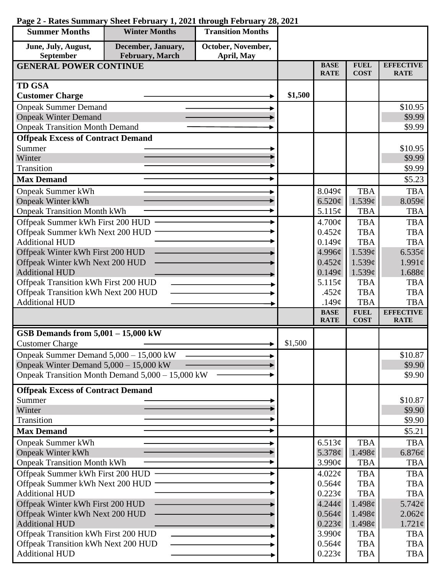| <b>Summer Months</b>                     | <b>Winter Months</b>                             | <b>Transition Months</b> |             |                            |                            |                                 |
|------------------------------------------|--------------------------------------------------|--------------------------|-------------|----------------------------|----------------------------|---------------------------------|
| June, July, August,                      | December, January,                               | October, November,       |             |                            |                            |                                 |
| September                                | February, March                                  | April, May               |             |                            |                            |                                 |
| <b>GENERAL POWER CONTINUE</b>            |                                                  |                          |             | <b>BASE</b><br><b>RATE</b> | <b>FUEL</b><br><b>COST</b> | <b>EFFECTIVE</b><br><b>RATE</b> |
| <b>TD GSA</b>                            |                                                  |                          |             |                            |                            |                                 |
| <b>Customer Charge</b>                   |                                                  |                          | \$1,500     |                            |                            |                                 |
| <b>Onpeak Summer Demand</b>              |                                                  |                          |             |                            |                            | \$10.95                         |
| <b>Onpeak Winter Demand</b>              |                                                  |                          |             |                            |                            | \$9.99                          |
| <b>Onpeak Transition Month Demand</b>    |                                                  |                          |             |                            |                            | \$9.99                          |
| <b>Offpeak Excess of Contract Demand</b> |                                                  |                          |             |                            |                            |                                 |
| Summer                                   |                                                  |                          |             |                            |                            | \$10.95                         |
| Winter                                   |                                                  |                          |             |                            |                            | \$9.99                          |
| Transition                               |                                                  |                          |             |                            |                            | \$9.99                          |
| <b>Max Demand</b>                        |                                                  |                          |             |                            |                            | \$5.23                          |
| <b>Onpeak Summer kWh</b>                 |                                                  |                          |             | 8.049¢                     | <b>TBA</b>                 | <b>TBA</b>                      |
| <b>Onpeak Winter kWh</b>                 |                                                  |                          |             | 6.520¢                     | 1.539c                     | 8.059¢                          |
| <b>Onpeak Transition Month kWh</b>       |                                                  |                          |             | 5.115¢                     | <b>TBA</b>                 | <b>TBA</b>                      |
| Offpeak Summer kWh First 200 HUD         |                                                  |                          |             | 4.700¢                     | <b>TBA</b>                 | <b>TBA</b>                      |
| Offpeak Summer kWh Next 200 HUD          |                                                  |                          |             | $0.452\mathcal{C}$         | <b>TBA</b>                 | <b>TBA</b>                      |
| <b>Additional HUD</b>                    |                                                  |                          |             | 0.149¢                     | <b>TBA</b>                 | <b>TBA</b>                      |
| Offpeak Winter kWh First 200 HUD         |                                                  |                          |             | 4.996¢                     | 1.539c                     | 6.535¢                          |
| Offpeak Winter kWh Next 200 HUD          |                                                  |                          |             | 0.452¢                     | 1.539¢                     | $1.991\ell$                     |
| <b>Additional HUD</b>                    |                                                  |                          |             | 0.149¢                     | 1.539¢                     | 1.688¢                          |
| Offpeak Transition kWh First 200 HUD     |                                                  |                          |             | 5.115¢                     | <b>TBA</b>                 | <b>TBA</b>                      |
| Offpeak Transition kWh Next 200 HUD      |                                                  |                          |             | .452 $\mathfrak{c}$        | <b>TBA</b>                 | <b>TBA</b>                      |
| <b>Additional HUD</b>                    |                                                  |                          | .149 $\phi$ | <b>TBA</b>                 | <b>TBA</b>                 |                                 |
|                                          |                                                  |                          |             | <b>BASE</b><br><b>RATE</b> | <b>FUEL</b><br><b>COST</b> | <b>EFFECTIVE</b><br><b>RATE</b> |
| GSB Demands from $5,001 - 15,000$ kW     |                                                  |                          |             |                            |                            |                                 |
| <b>Customer Charge</b>                   |                                                  |                          | \$1,500     |                            |                            |                                 |
| Onpeak Summer Demand 5,000 - 15,000 kW   |                                                  |                          |             |                            |                            | \$10.87                         |
| Onpeak Winter Demand $5,000 - 15,000$ kW |                                                  |                          |             |                            |                            | \$9.90                          |
|                                          | Onpeak Transition Month Demand 5,000 – 15,000 kW |                          |             |                            |                            | \$9.90                          |
| <b>Offpeak Excess of Contract Demand</b> |                                                  |                          |             |                            |                            |                                 |
| Summer                                   |                                                  |                          |             |                            |                            | \$10.87                         |
| Winter                                   |                                                  |                          |             |                            |                            | \$9.90                          |
| Transition                               |                                                  |                          |             |                            |                            | \$9.90                          |
| <b>Max Demand</b>                        |                                                  |                          |             |                            |                            | \$5.21                          |
| <b>Onpeak Summer kWh</b>                 |                                                  |                          |             | 6.513¢                     | <b>TBA</b>                 | <b>TBA</b>                      |
| <b>Onpeak Winter kWh</b>                 |                                                  |                          |             | 5.378 $\phi$               | 1.498¢                     | 6.876¢                          |
| <b>Onpeak Transition Month kWh</b>       |                                                  |                          |             | 3.990¢                     | <b>TBA</b>                 | <b>TBA</b>                      |
| Offpeak Summer kWh First 200 HUD         |                                                  |                          |             | 4.022¢                     | <b>TBA</b>                 | <b>TBA</b>                      |
| Offpeak Summer kWh Next 200 HUD          |                                                  |                          |             | 0.564¢                     | <b>TBA</b>                 | <b>TBA</b>                      |
| <b>Additional HUD</b>                    |                                                  |                          |             | 0.223¢                     | <b>TBA</b>                 | <b>TBA</b>                      |
| Offpeak Winter kWh First 200 HUD         |                                                  |                          |             | $4.244\phi$                | 1.498¢                     | 5.742¢                          |
| Offpeak Winter kWh Next 200 HUD          |                                                  |                          |             | 0.564¢                     | 1.498¢                     | $2.062\varphi$                  |
| <b>Additional HUD</b>                    |                                                  |                          |             | $0.223\phi$                | 1.498¢                     | $1.721\phi$                     |
| Offpeak Transition kWh First 200 HUD     |                                                  |                          |             | 3.990¢                     | <b>TBA</b>                 | <b>TBA</b>                      |
|                                          | Offpeak Transition kWh Next 200 HUD              |                          |             | 0.564¢                     | <b>TBA</b>                 | <b>TBA</b>                      |
| <b>Additional HUD</b>                    |                                                  |                          |             | $0.223\phi$                | <b>TBA</b>                 | TBA                             |

## **Page 2 - Rates Summary Sheet February 1, 2021 through February 28, 2021**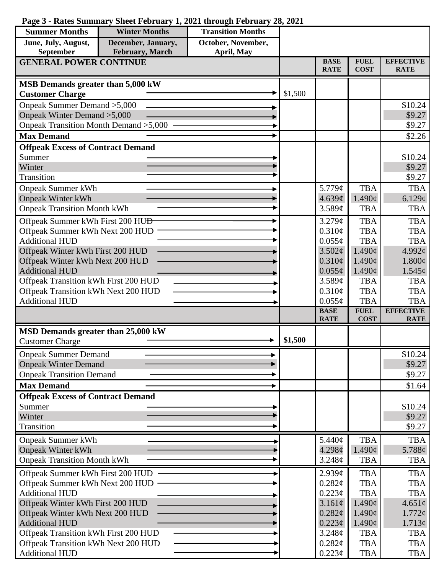## **Page 3 - Rates Summary Sheet February 1, 2021 through February 28, 2021**

| <b>Summer Months</b>                                                        | <b>Winter Months</b>         | <b>Transition Months</b> |         |                            |                                       |                                 |
|-----------------------------------------------------------------------------|------------------------------|--------------------------|---------|----------------------------|---------------------------------------|---------------------------------|
| June, July, August,                                                         | December, January,           | October, November,       |         |                            |                                       |                                 |
| February, March<br>September<br>April, May<br><b>GENERAL POWER CONTINUE</b> |                              |                          |         |                            |                                       |                                 |
|                                                                             |                              |                          |         | <b>BASE</b><br><b>RATE</b> | <b>FUEL</b><br><b>COST</b>            | <b>EFFECTIVE</b><br><b>RATE</b> |
| MSB Demands greater than 5,000 kW                                           |                              |                          |         |                            |                                       |                                 |
| <b>Customer Charge</b>                                                      |                              |                          | \$1,500 |                            |                                       |                                 |
| Onpeak Summer Demand > 5,000                                                |                              |                          |         |                            |                                       | \$10.24                         |
|                                                                             | Onpeak Winter Demand > 5,000 |                          |         |                            |                                       | \$9.27                          |
| Onpeak Transition Month Demand > 5,000                                      |                              |                          |         |                            |                                       | \$9.27                          |
| <b>Max Demand</b>                                                           |                              |                          |         |                            |                                       | \$2.26                          |
| <b>Offpeak Excess of Contract Demand</b>                                    |                              |                          |         |                            |                                       |                                 |
| Summer                                                                      |                              |                          |         |                            |                                       | \$10.24                         |
| Winter                                                                      |                              |                          |         |                            |                                       | \$9.27                          |
| Transition                                                                  |                              |                          |         |                            |                                       | \$9.27                          |
| <b>Onpeak Summer kWh</b>                                                    |                              |                          |         | 5.779¢                     | <b>TBA</b>                            | <b>TBA</b>                      |
| <b>Onpeak Winter kWh</b>                                                    |                              |                          |         | 4.639¢                     | $1.490\varphi$                        | 6.129¢                          |
| <b>Onpeak Transition Month kWh</b>                                          |                              |                          |         | 3.589¢                     | <b>TBA</b>                            | <b>TBA</b>                      |
| Offpeak Summer kWh First 200 HU <del>D</del>                                |                              |                          |         | 3.279¢                     | <b>TBA</b>                            | <b>TBA</b>                      |
| Offpeak Summer kWh Next 200 HUD                                             |                              |                          |         | 0.310¢                     | <b>TBA</b>                            | <b>TBA</b>                      |
| <b>Additional HUD</b>                                                       |                              |                          |         | $0.055\phi$                | <b>TBA</b>                            | <b>TBA</b>                      |
| Offpeak Winter kWh First 200 HUD                                            |                              |                          |         | 3.502¢                     | $1.490\text{¢}$                       | 4.992 $\phi$                    |
| Offpeak Winter kWh Next 200 HUD<br><b>Additional HUD</b>                    |                              |                          |         | $0.310\phi$                | $1.490\epsilon$<br>$1.490\mathrm{\c}$ | $1.800\phi$                     |
| Offpeak Transition kWh First 200 HUD                                        |                              |                          |         | $0.055\phi$<br>3.589¢      | <b>TBA</b>                            | $1.545\varphi$<br><b>TBA</b>    |
| Offpeak Transition kWh Next 200 HUD                                         |                              |                          |         | $0.310\phi$                | <b>TBA</b>                            | <b>TBA</b>                      |
| <b>Additional HUD</b>                                                       |                              |                          |         | $0.055\phi$                | <b>TBA</b>                            | <b>TBA</b>                      |
|                                                                             |                              |                          |         | <b>BASE</b>                | <b>FUEL</b>                           | <b>EFFECTIVE</b>                |
|                                                                             |                              |                          |         | <b>RATE</b>                | <b>COST</b>                           | <b>RATE</b>                     |
| MSD Demands greater than 25,000 kW                                          |                              |                          |         |                            |                                       |                                 |
| <b>Customer Charge</b>                                                      |                              |                          | \$1,500 |                            |                                       |                                 |
| <b>Onpeak Summer Demand</b>                                                 |                              |                          |         |                            |                                       | \$10.24                         |
| <b>Onpeak Winter Demand</b>                                                 |                              |                          |         |                            |                                       | \$9.27                          |
| <b>Onpeak Transition Demand</b>                                             |                              |                          |         |                            |                                       | \$9.27                          |
| <b>Max Demand</b>                                                           |                              |                          |         |                            |                                       | \$1.64                          |
| <b>Offpeak Excess of Contract Demand</b>                                    |                              |                          |         |                            |                                       |                                 |
| Summer                                                                      |                              |                          |         |                            |                                       | \$10.24                         |
| Winter                                                                      |                              |                          |         |                            |                                       | \$9.27                          |
| Transition                                                                  |                              |                          |         |                            |                                       | \$9.27                          |
| <b>Onpeak Summer kWh</b>                                                    |                              |                          |         | 5.440¢                     | <b>TBA</b>                            | <b>TBA</b>                      |
| <b>Onpeak Winter kWh</b>                                                    |                              |                          |         | 4.298¢                     | $1.490\varphi$                        | 5.788 $\phi$                    |
| <b>Onpeak Transition Month kWh</b>                                          |                              |                          |         | 3.248¢                     | <b>TBA</b>                            | <b>TBA</b>                      |
| Offpeak Summer kWh First 200 HUD                                            |                              |                          |         | 2.939¢                     | <b>TBA</b>                            | <b>TBA</b>                      |
| Offpeak Summer kWh Next 200 HUD                                             |                              |                          |         | 0.282¢                     | <b>TBA</b>                            | <b>TBA</b>                      |
| <b>Additional HUD</b>                                                       |                              |                          |         | $0.223\phi$                | <b>TBA</b>                            | <b>TBA</b>                      |
| Offpeak Winter kWh First 200 HUD                                            |                              |                          |         | 3.161¢                     | $1.490\varphi$                        | $4.651\phi$                     |
| Offpeak Winter kWh Next 200 HUD                                             |                              |                          |         | $0.282\phi$                | $1.490\varphi$                        | $1.772\varphi$                  |
| <b>Additional HUD</b>                                                       |                              |                          |         | $0.223\phi$                | $1.490\varphi$                        | $1.713\phi$                     |
| Offpeak Transition kWh First 200 HUD                                        |                              |                          |         | 3.248¢                     | <b>TBA</b>                            | <b>TBA</b>                      |
| Offpeak Transition kWh Next 200 HUD<br><b>Additional HUD</b>                |                              |                          |         | 0.282¢<br>$0.223\phi$      | <b>TBA</b><br><b>TBA</b>              | <b>TBA</b><br><b>TBA</b>        |
|                                                                             |                              |                          |         |                            |                                       |                                 |